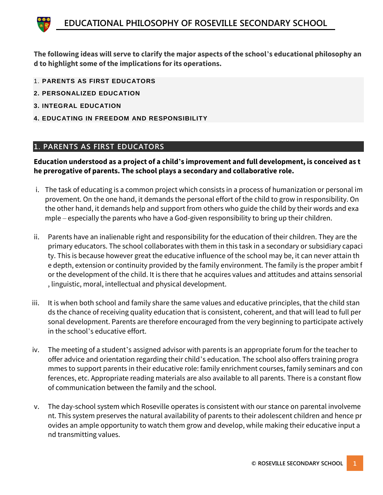**The following ideas will serve to clarify the major aspects of the school's educational philosophy an d to highlight some of the implications for its operations.**

- 1. **PARENTS AS FIRST EDUCATORS**
- **2. PERSONALIZED EDUCATION**
- **3. INTEGRAL EDUCATION**
- **4. EDUCATING IN FREEDOM AND RESPONSIBILITY**

#### **1. PARENTS AS FIRST EDUCATORS**

**Education understood as a project of a child's improvement and full development, is conceived as t he prerogative of parents. The school plays a secondary and collaborative role.**

- i. The task of educating is a common project which consists in a process of humanization or personal im provement. On the one hand, it demands the personal effort of the child to grow in responsibility. On the other hand, it demands help and support from others who guide the child by their words and exa mple – especially the parents who have a God-given responsibility to bring up their children.
- ii. Parents have an inalienable right and responsibility for the education of their children. They are the primary educators. The school collaborates with them in this task in a secondary or subsidiary capaci ty. This is because however great the educative influence of the school may be, it can never attain th e depth, extension or continuity provided by the family environment. The family is the proper ambit f or the development of the child. It is there that he acquires values and attitudes and attains sensorial , linguistic, moral, intellectual and physical development.
- iii. It is when both school and family share the same values and educative principles, that the child stan ds the chance of receiving quality education that is consistent, coherent, and that will lead to full per sonal development. Parents are therefore encouraged from the very beginning to participate actively in the school's educative effort.
- iv. The meeting of a student's assigned advisor with parents is an appropriate forum for the teacher to offer advice and orientation regarding their child's education. The school also offers training progra mmes to support parents in their educative role: family enrichment courses, family seminars and con ferences, etc. Appropriate reading materials are also available to all parents. There is a constant flow of communication between the family and the school.
- v. The day-school system which Roseville operates is consistent with our stance on parental involveme nt. This system preserves the natural availability of parents to their adolescent children and hence pr ovides an ample opportunity to watch them grow and develop, while making their educative input a nd transmitting values.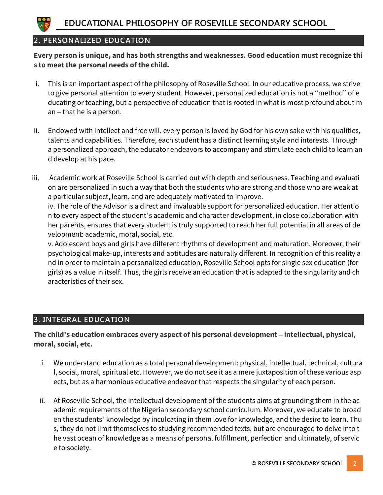

### **2. PERSONALIZED EDUCATION**

**Every person is unique, and has both strengths and weaknesses. Good education must recognize thi s to meet the personal needs of the child.**

- i. This is an important aspect of the philosophy of Roseville School. In our educative process, we strive to give personal attention to every student. However, personalized education is not a "method" of e ducating or teaching, but a perspective of education that is rooted in what is most profound about m an – that he is a person.
- ii. Endowed with intellect and free will, every person is loved by God for his own sake with his qualities, talents and capabilities. Therefore, each student has a distinct learning style and interests. Through a personalized approach, the educator endeavors to accompany and stimulate each child to learn an d develop at his pace.
- iii. Academic work at Roseville School is carried out with depth and seriousness. Teaching and evaluati on are personalized in such a way that both the students who are strong and those who are weak at a particular subject, learn, and are adequately motivated to improve.

iv. The role of the Advisor is a direct and invaluable support for personalized education. Her attentio n to every aspect of the student's academic and character development, in close collaboration with her parents, ensures that every student is truly supported to reach her full potential in all areas of de velopment: academic, moral, social, etc.

v. Adolescent boys and girls have different rhythms of development and maturation. Moreover, their psychological make-up, interests and aptitudes are naturally different. In recognition of this reality a nd in order to maintain a personalized education, Roseville School opts for single sex education (for girls) as a value in itself. Thus, the girls receive an education that is adapted to the singularity and ch aracteristics of their sex.

### **3. INTEGRAL EDUCATION**

**The child's education embraces every aspect of his personal development – intellectual, physical, moral, social, etc.**

- i. We understand education as a total personal development: physical, intellectual, technical, cultura l, social, moral, spiritual etc. However, we do not see it as a mere juxtaposition of these various asp ects, but as a harmonious educative endeavor that respects the singularity of each person.
- ii. At Roseville School, the Intellectual development of the students aims at grounding them in the ac ademic requirements of the Nigerian secondary school curriculum. Moreover, we educate to broad en the students' knowledge by inculcating in them love for knowledge, and the desire to learn. Thu s, they do not limit themselves to studying recommended texts, but are encouraged to delve into t he vast ocean of knowledge as a means of personal fulfillment, perfection and ultimately, of servic e to society.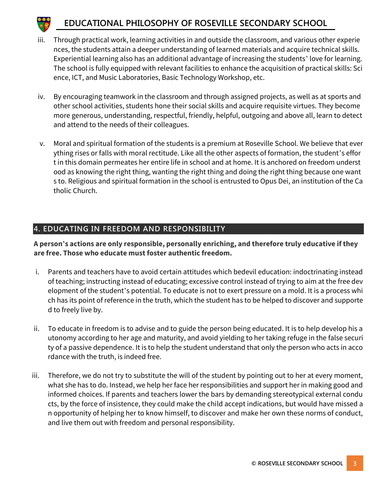# **EDUCATIONAL PHILOSOPHY OF ROSEVILLE SECONDARY SCHOOL**

- iii. Through practical work, learning activities in and outside the classroom, and various other experie nces, the students attain a deeper understanding of learned materials and acquire technical skills. Experiential learning also has an additional advantage of increasing the students' love for learning. The school is fully equipped with relevant facilities to enhance the acquisition of practical skills: Sci ence, ICT, and Music Laboratories, Basic Technology Workshop, etc.
- iv. By encouraging teamwork in the classroom and through assigned projects, as well as at sports and other school activities, students hone their social skills and acquire requisite virtues. They become more generous, understanding, respectful, friendly, helpful, outgoing and above all, learn to detect and attend to the needs of their colleagues.
- v. Moral and spiritual formation of the students is a premium at Roseville School. We believe that ever ything rises or falls with moral rectitude. Like all the other aspects of formation, the student's effor t in this domain permeates her entire life in school and at home. It is anchored on freedom underst ood as knowing the right thing, wanting the right thing and doing the right thing because one want s to. Religious and spiritual formation in the school is entrusted to Opus Dei, an institution of the Ca tholic Church.

### **4. EDUCATING IN FREEDOM AND RESPONSIBILITY**

**A person's actions are only responsible, personally enriching, and therefore truly educative if they are free. Those who educate must foster authentic freedom.**

- i. Parents and teachers have to avoid certain attitudes which bedevil education: indoctrinating instead of teaching; instructing instead of educating; excessive control instead of trying to aim at the free dev elopment of the student's potential. To educate is not to exert pressure on a mold. It is a process whi ch has its point of reference in the truth, which the student has to be helped to discover and supporte d to freely live by.
- ii. To educate in freedom is to advise and to guide the person being educated. It is to help develop his a utonomy according to her age and maturity, and avoid yielding to her taking refuge in the false securi ty of a passive dependence. It is to help the student understand that only the person who acts in acco rdance with the truth, is indeed free.
- iii. Therefore, we do not try to substitute the will of the student by pointing out to her at every moment, what she has to do. Instead, we help her face her responsibilities and support her in making good and informed choices. If parents and teachers lower the bars by demanding stereotypical external condu cts, by the force of insistence, they could make the child accept indications, but would have missed a n opportunity of helping her to know himself, to discover and make her own these norms of conduct, and live them out with freedom and personal responsibility.